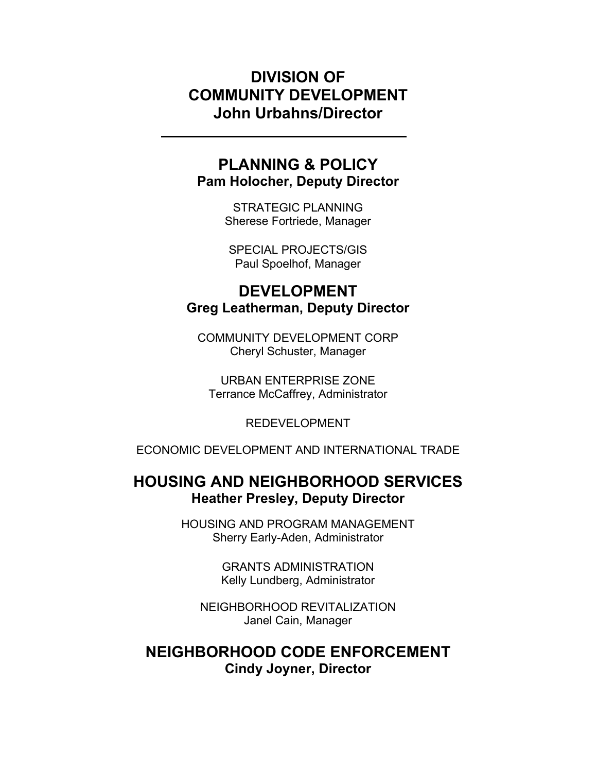# DIVISION OF COMMUNITY DEVELOPMENT John Urbahns/Director

# PLANNING & POLICY Pam Holocher, Deputy Director

STRATEGIC PLANNING Sherese Fortriede, Manager

SPECIAL PROJECTS/GIS Paul Spoelhof, Manager

# DEVELOPMENT Greg Leatherman, Deputy Director

COMMUNITY DEVELOPMENT CORP Cheryl Schuster, Manager

URBAN ENTERPRISE ZONE Terrance McCaffrey, Administrator

REDEVELOPMENT

ECONOMIC DEVELOPMENT AND INTERNATIONAL TRADE

# HOUSING AND NEIGHBORHOOD SERVICES Heather Presley, Deputy Director

HOUSING AND PROGRAM MANAGEMENT Sherry Early-Aden, Administrator

> GRANTS ADMINISTRATION Kelly Lundberg, Administrator

NEIGHBORHOOD REVITALIZATION Janel Cain, Manager

# NEIGHBORHOOD CODE ENFORCEMENT Cindy Joyner, Director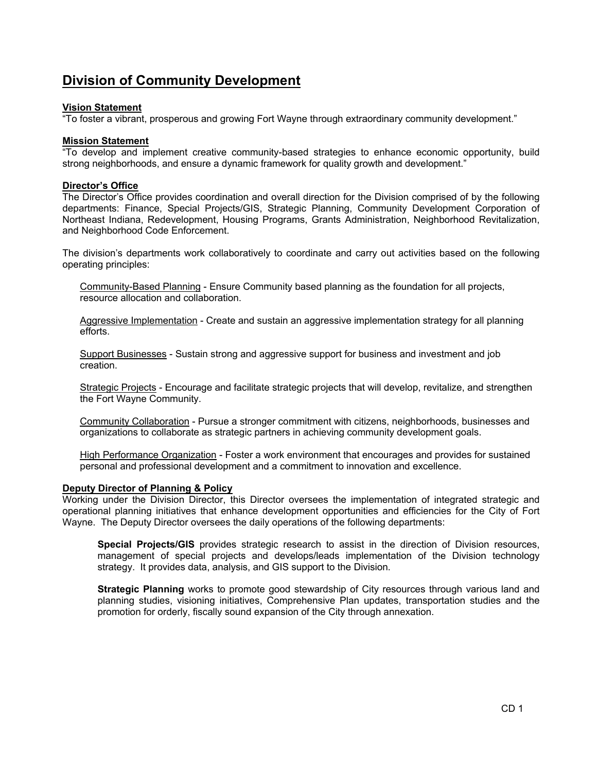### Division of Community Development

#### Vision Statement

"To foster a vibrant, prosperous and growing Fort Wayne through extraordinary community development."

#### **Mission Statement**

"To develop and implement creative community-based strategies to enhance economic opportunity, build strong neighborhoods, and ensure a dynamic framework for quality growth and development."

#### Director's Office

The Director's Office provides coordination and overall direction for the Division comprised of by the following departments: Finance, Special Projects/GIS, Strategic Planning, Community Development Corporation of Northeast Indiana, Redevelopment, Housing Programs, Grants Administration, Neighborhood Revitalization, and Neighborhood Code Enforcement.

The division's departments work collaboratively to coordinate and carry out activities based on the following operating principles:

Community-Based Planning - Ensure Community based planning as the foundation for all projects, resource allocation and collaboration.

Aggressive Implementation - Create and sustain an aggressive implementation strategy for all planning efforts.

Support Businesses - Sustain strong and aggressive support for business and investment and job creation.

Strategic Projects - Encourage and facilitate strategic projects that will develop, revitalize, and strengthen the Fort Wayne Community.

Community Collaboration - Pursue a stronger commitment with citizens, neighborhoods, businesses and organizations to collaborate as strategic partners in achieving community development goals.

High Performance Organization - Foster a work environment that encourages and provides for sustained personal and professional development and a commitment to innovation and excellence.

#### Deputy Director of Planning & Policy

Working under the Division Director, this Director oversees the implementation of integrated strategic and operational planning initiatives that enhance development opportunities and efficiencies for the City of Fort Wayne. The Deputy Director oversees the daily operations of the following departments:

Special Projects/GIS provides strategic research to assist in the direction of Division resources, management of special projects and develops/leads implementation of the Division technology strategy. It provides data, analysis, and GIS support to the Division.

**Strategic Planning** works to promote good stewardship of City resources through various land and planning studies, visioning initiatives, Comprehensive Plan updates, transportation studies and the promotion for orderly, fiscally sound expansion of the City through annexation.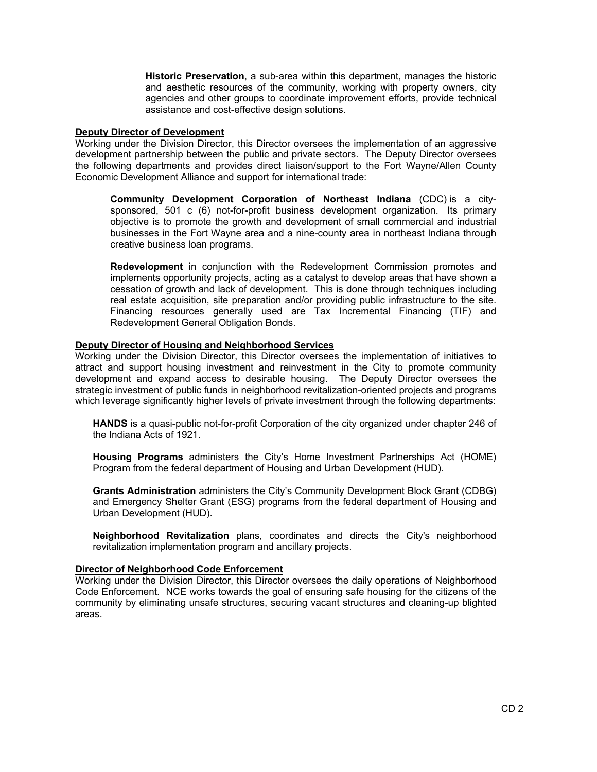Historic Preservation, a sub-area within this department, manages the historic and aesthetic resources of the community, working with property owners, city agencies and other groups to coordinate improvement efforts, provide technical assistance and cost-effective design solutions.

#### Deputy Director of Development

Working under the Division Director, this Director oversees the implementation of an aggressive development partnership between the public and private sectors. The Deputy Director oversees the following departments and provides direct liaison/support to the Fort Wayne/Allen County Economic Development Alliance and support for international trade:

Community Development Corporation of Northeast Indiana (CDC) is a citysponsored, 501 c (6) not-for-profit business development organization. Its primary objective is to promote the growth and development of small commercial and industrial businesses in the Fort Wayne area and a nine-county area in northeast Indiana through creative business loan programs.

Redevelopment in conjunction with the Redevelopment Commission promotes and implements opportunity projects, acting as a catalyst to develop areas that have shown a cessation of growth and lack of development. This is done through techniques including real estate acquisition, site preparation and/or providing public infrastructure to the site. Financing resources generally used are Tax Incremental Financing (TIF) and Redevelopment General Obligation Bonds.

#### Deputy Director of Housing and Neighborhood Services

Working under the Division Director, this Director oversees the implementation of initiatives to attract and support housing investment and reinvestment in the City to promote community development and expand access to desirable housing. The Deputy Director oversees the strategic investment of public funds in neighborhood revitalization-oriented projects and programs which leverage significantly higher levels of private investment through the following departments:

HANDS is a quasi-public not-for-profit Corporation of the city organized under chapter 246 of the Indiana Acts of 1921.

Housing Programs administers the City's Home Investment Partnerships Act (HOME) Program from the federal department of Housing and Urban Development (HUD).

Grants Administration administers the City's Community Development Block Grant (CDBG) and Emergency Shelter Grant (ESG) programs from the federal department of Housing and Urban Development (HUD).

Neighborhood Revitalization plans, coordinates and directs the City's neighborhood revitalization implementation program and ancillary projects.

#### Director of Neighborhood Code Enforcement

Working under the Division Director, this Director oversees the daily operations of Neighborhood Code Enforcement. NCE works towards the goal of ensuring safe housing for the citizens of the community by eliminating unsafe structures, securing vacant structures and cleaning-up blighted areas.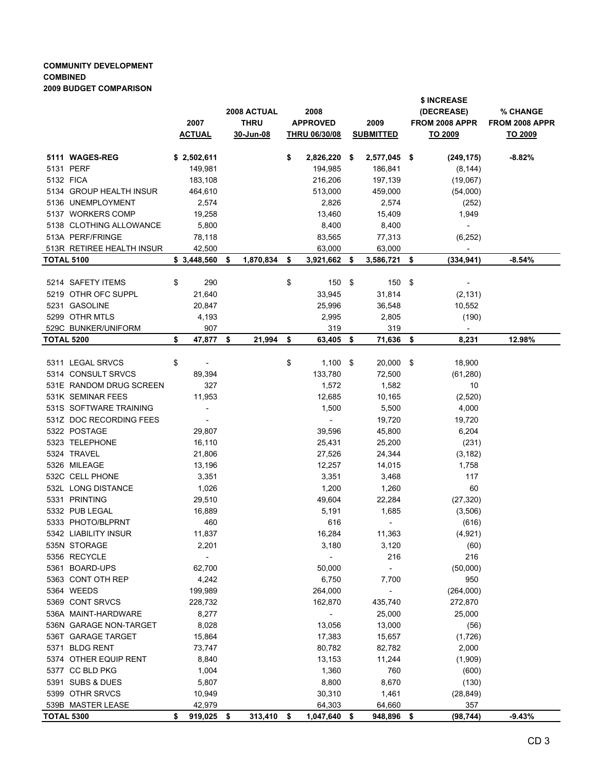#### COMMUNITY DEVELOPMENT COMBINED 2009 BUDGET COMPARISON

|                   |                                          | 2007<br><b>ACTUAL</b> |                          | 2008 ACTUAL<br><b>THRU</b><br>30-Jun-08 |           | 2008<br><b>APPROVED</b><br><u>THRU 06/30/08</u> |                          | 2009<br><b>SUBMITTED</b> |                          | \$ INCREASE<br>(DECREASE)<br>FROM 2008 APPR<br>TO 2009 |                                   | % CHANGE<br>FROM 2008 APPR<br><u>TO 2009</u> |
|-------------------|------------------------------------------|-----------------------|--------------------------|-----------------------------------------|-----------|-------------------------------------------------|--------------------------|--------------------------|--------------------------|--------------------------------------------------------|-----------------------------------|----------------------------------------------|
|                   | 5111 WAGES-REG                           |                       | \$2,502,611              |                                         |           | \$                                              | 2,826,220 \$             |                          | 2,577,045 \$             |                                                        | (249, 175)                        | $-8.82%$                                     |
|                   | 5131 PERF                                |                       | 149,981                  |                                         |           |                                                 | 194,985                  |                          | 186,841                  |                                                        | (8, 144)                          |                                              |
|                   | 5132 FICA                                |                       | 183,108                  |                                         |           |                                                 | 216,206                  |                          | 197,139                  |                                                        | (19,067)                          |                                              |
|                   | 5134 GROUP HEALTH INSUR                  |                       | 464,610                  |                                         |           |                                                 | 513,000                  |                          | 459,000                  |                                                        | (54,000)                          |                                              |
|                   | 5136 UNEMPLOYMENT                        |                       | 2,574                    |                                         |           |                                                 | 2,826                    |                          | 2,574                    |                                                        | (252)                             |                                              |
|                   | 5137 WORKERS COMP                        |                       | 19,258                   |                                         |           |                                                 | 13,460                   |                          | 15,409                   |                                                        | 1,949                             |                                              |
|                   | 5138 CLOTHING ALLOWANCE                  |                       | 5,800                    |                                         |           |                                                 | 8,400                    |                          | 8,400                    |                                                        | $\overline{\phantom{a}}$          |                                              |
|                   | 513A PERF/FRINGE                         |                       | 78,118                   |                                         |           |                                                 | 83,565                   |                          | 77,313                   |                                                        | (6, 252)                          |                                              |
|                   | 513R RETIREE HEALTH INSUR                |                       | 42,500                   |                                         |           |                                                 | 63,000                   |                          | 63,000                   |                                                        | $\overline{\phantom{a}}$          |                                              |
| <b>TOTAL 5100</b> |                                          |                       | \$3,448,560              | - \$                                    | 1,870,834 | \$                                              | 3,921,662                | -\$                      | 3,586,721                | \$                                                     | (334, 941)                        | $-8.54%$                                     |
|                   |                                          |                       |                          |                                         |           |                                                 |                          |                          |                          |                                                        |                                   |                                              |
|                   | 5214 SAFETY ITEMS<br>5219 OTHR OFC SUPPL | \$                    | 290                      |                                         |           | \$                                              | 150                      | - \$                     | 150                      | \$                                                     |                                   |                                              |
|                   |                                          |                       | 21,640                   |                                         |           |                                                 | 33,945                   |                          | 31,814                   |                                                        | (2, 131)                          |                                              |
|                   | 5231 GASOLINE                            |                       | 20,847                   |                                         |           |                                                 | 25,996                   |                          | 36,548                   |                                                        | 10,552                            |                                              |
|                   | 5299 OTHR MTLS<br>529C BUNKER/UNIFORM    |                       | 4,193<br>907             |                                         |           |                                                 | 2,995<br>319             |                          | 2,805<br>319             |                                                        | (190)<br>$\overline{\phantom{a}}$ |                                              |
| <b>TOTAL 5200</b> |                                          | \$                    | 47,877 \$                |                                         | 21,994    | \$                                              | 63,405 \$                |                          | 71,636                   | \$                                                     | 8,231                             | 12.98%                                       |
|                   |                                          |                       |                          |                                         |           |                                                 |                          |                          |                          |                                                        |                                   |                                              |
|                   | 5311 LEGAL SRVCS                         | \$                    | $\overline{\phantom{a}}$ |                                         |           | \$                                              | $1,100$ \$               |                          | 20,000                   | \$                                                     | 18,900                            |                                              |
|                   | 5314 CONSULT SRVCS                       |                       | 89,394                   |                                         |           |                                                 | 133,780                  |                          | 72,500                   |                                                        | (61, 280)                         |                                              |
|                   | 531E RANDOM DRUG SCREEN                  |                       | 327                      |                                         |           |                                                 | 1,572                    |                          | 1,582                    |                                                        | 10                                |                                              |
|                   | 531K SEMINAR FEES                        |                       | 11,953                   |                                         |           |                                                 | 12,685                   |                          | 10,165                   |                                                        | (2,520)                           |                                              |
|                   | 531S SOFTWARE TRAINING                   |                       | $\overline{\phantom{a}}$ |                                         |           |                                                 | 1,500                    |                          | 5,500                    |                                                        | 4,000                             |                                              |
|                   | 531Z DOC RECORDING FEES                  |                       |                          |                                         |           |                                                 |                          |                          | 19,720                   |                                                        | 19,720                            |                                              |
|                   | 5322 POSTAGE                             |                       | 29,807                   |                                         |           |                                                 | 39,596                   |                          | 45,800                   |                                                        | 6,204                             |                                              |
|                   | 5323 TELEPHONE                           |                       | 16,110                   |                                         |           |                                                 | 25,431                   |                          | 25,200                   |                                                        | (231)                             |                                              |
|                   | 5324 TRAVEL                              |                       | 21,806                   |                                         |           |                                                 | 27,526                   |                          | 24,344                   |                                                        | (3, 182)                          |                                              |
|                   | 5326 MILEAGE                             |                       | 13,196                   |                                         |           |                                                 | 12,257                   |                          | 14,015                   |                                                        | 1,758                             |                                              |
|                   | 532C CELL PHONE                          |                       | 3,351                    |                                         |           |                                                 | 3,351                    |                          | 3,468                    |                                                        | 117                               |                                              |
|                   | 532L LONG DISTANCE                       |                       | 1,026                    |                                         |           |                                                 | 1,200                    |                          | 1,260                    |                                                        | 60                                |                                              |
|                   | 5331 PRINTING                            |                       | 29,510                   |                                         |           |                                                 | 49,604                   |                          | 22,284                   |                                                        | (27, 320)                         |                                              |
|                   | 5332 PUB LEGAL                           |                       | 16,889                   |                                         |           |                                                 | 5,191                    |                          | 1,685                    |                                                        | (3,506)                           |                                              |
|                   | 5333 PHOTO/BLPRNT                        |                       | 460                      |                                         |           |                                                 | 616                      |                          | $\overline{\phantom{a}}$ |                                                        | (616)                             |                                              |
|                   | 5342 LIABILITY INSUR                     |                       | 11,837                   |                                         |           |                                                 | 16,284                   |                          | 11,363                   |                                                        | (4,921)                           |                                              |
|                   | 535N STORAGE                             |                       | 2,201                    |                                         |           |                                                 | 3,180                    |                          | 3,120                    |                                                        | (60)                              |                                              |
|                   | 5356 RECYCLE                             |                       | $\overline{\phantom{a}}$ |                                         |           |                                                 | $\overline{\phantom{a}}$ |                          | 216                      |                                                        | 216                               |                                              |
|                   | 5361 BOARD-UPS                           |                       | 62,700                   |                                         |           |                                                 | 50,000                   |                          | $\overline{\phantom{a}}$ |                                                        | (50,000)                          |                                              |
|                   | 5363 CONT OTH REP                        |                       | 4,242                    |                                         |           |                                                 | 6,750                    |                          | 7,700                    |                                                        | 950                               |                                              |
|                   | 5364 WEEDS                               |                       | 199,989                  |                                         |           |                                                 | 264,000                  |                          | $\blacksquare$           |                                                        | (264,000)                         |                                              |
|                   | 5369 CONT SRVCS                          |                       | 228,732                  |                                         |           |                                                 | 162,870                  |                          | 435,740                  |                                                        | 272,870                           |                                              |
|                   | 536A MAINT-HARDWARE                      |                       | 8,277                    |                                         |           |                                                 |                          |                          | 25,000                   |                                                        | 25,000                            |                                              |
|                   | 536N GARAGE NON-TARGET                   |                       | 8,028                    |                                         |           |                                                 | 13,056                   |                          | 13,000                   |                                                        | (56)                              |                                              |
|                   | 536T GARAGE TARGET                       |                       | 15,864                   |                                         |           |                                                 | 17,383                   |                          | 15,657                   |                                                        | (1,726)                           |                                              |
|                   | 5371 BLDG RENT<br>5374 OTHER EQUIP RENT  |                       | 73,747                   |                                         |           |                                                 | 80,782                   |                          | 82,782                   |                                                        | 2,000                             |                                              |
|                   | 5377 CC BLD PKG                          |                       | 8,840<br>1,004           |                                         |           |                                                 | 13,153<br>1,360          |                          | 11,244<br>760            |                                                        | (1,909)<br>(600)                  |                                              |
|                   | 5391 SUBS & DUES                         |                       | 5,807                    |                                         |           |                                                 | 8,800                    |                          | 8,670                    |                                                        | (130)                             |                                              |
|                   | 5399 OTHR SRVCS                          |                       | 10,949                   |                                         |           |                                                 | 30,310                   |                          | 1,461                    |                                                        | (28, 849)                         |                                              |
|                   | 539B MASTER LEASE                        |                       | 42,979                   |                                         |           |                                                 | 64,303                   |                          | 64,660                   |                                                        | 357                               |                                              |
| <b>TOTAL 5300</b> |                                          | \$                    | $919,025$ \$             |                                         | 313,410   | -\$                                             | 1,047,640 \$             |                          | 948,896                  | \$                                                     | (98, 744)                         | $-9.43%$                                     |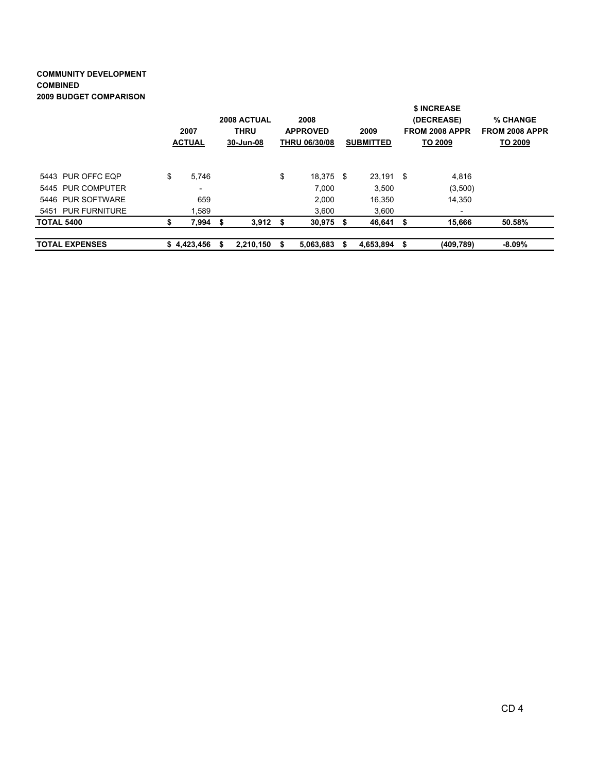#### COMMUNITY DEVELOPMENT COMBINED 2009 BUDGET COMPARISON

| <b>TOTAL EXPENSES</b> |    | \$4,423,456              | S                                       | 2,210,150  | - \$                                            | 5,063,683   | -S                       | 4,653,894 | S                                                             | (409, 789)               | $-8.09\%$                             |
|-----------------------|----|--------------------------|-----------------------------------------|------------|-------------------------------------------------|-------------|--------------------------|-----------|---------------------------------------------------------------|--------------------------|---------------------------------------|
| <b>TOTAL 5400</b>     |    | 7,994                    | S                                       | $3,912$ \$ |                                                 | $30,975$ \$ |                          | 46,641    |                                                               | 15,666                   | 50.58%                                |
| 5451 PUR FURNITURE    |    | 1,589                    |                                         |            |                                                 | 3,600       |                          | 3,600     |                                                               | $\overline{\phantom{a}}$ |                                       |
| 5446 PUR SOFTWARE     |    | 659                      |                                         |            |                                                 | 2.000       |                          | 16.350    |                                                               | 14.350                   |                                       |
| 5445 PUR COMPUTER     |    | $\overline{\phantom{a}}$ |                                         |            |                                                 | 7.000       |                          | 3,500     |                                                               | (3,500)                  |                                       |
| 5443 PUR OFFC EQP     | \$ | 5.746                    |                                         |            | \$                                              | 18,375 \$   |                          | 23.191    | - \$                                                          | 4.816                    |                                       |
|                       |    | 2007<br><b>ACTUAL</b>    | 2008 ACTUAL<br><b>THRU</b><br>30-Jun-08 |            | 2008<br><b>APPROVED</b><br><b>THRU 06/30/08</b> |             | 2009<br><b>SUBMITTED</b> |           | \$ INCREASE<br>(DECREASE)<br><b>FROM 2008 APPR</b><br>TO 2009 |                          | % CHANGE<br>FROM 2008 APPR<br>TO 2009 |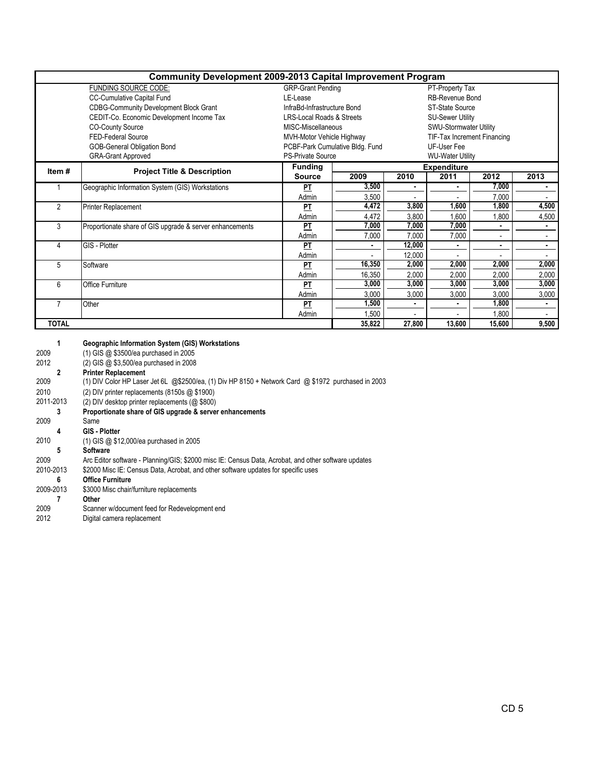|                | <b>Community Development 2009-2013 Capital Improvement Program</b> |                                      |                                 |                         |                             |       |                |  |  |  |
|----------------|--------------------------------------------------------------------|--------------------------------------|---------------------------------|-------------------------|-----------------------------|-------|----------------|--|--|--|
|                | FUNDING SOURCE CODE:                                               | <b>GRP-Grant Pending</b>             |                                 |                         | PT-Property Tax             |       |                |  |  |  |
|                | <b>CC-Cumulative Capital Fund</b>                                  | LE-Lease                             |                                 |                         | RB-Revenue Bond             |       |                |  |  |  |
|                | <b>CDBG-Community Development Block Grant</b>                      | InfraBd-Infrastructure Bond          |                                 | <b>ST-State Source</b>  |                             |       |                |  |  |  |
|                | CEDIT-Co. Economic Development Income Tax                          | <b>LRS-Local Roads &amp; Streets</b> |                                 | <b>SU-Sewer Utility</b> |                             |       |                |  |  |  |
|                | <b>CO-County Source</b>                                            | MISC-Miscellaneous                   |                                 |                         | SWU-Stormwater Utility      |       |                |  |  |  |
|                | <b>FED-Federal Source</b>                                          | MVH-Motor Vehicle Highway            |                                 |                         | TIF-Tax Increment Financing |       |                |  |  |  |
|                | GOB-General Obligation Bond                                        |                                      | PCBF-Park Cumulative Bldg. Fund |                         | UF-User Fee                 |       |                |  |  |  |
|                | <b>GRA-Grant Approved</b>                                          | <b>PS-Private Source</b>             |                                 | <b>WU-Water Utility</b> |                             |       |                |  |  |  |
| Item #         |                                                                    | <b>Funding</b>                       |                                 | <b>Expenditure</b>      |                             |       |                |  |  |  |
|                | <b>Project Title &amp; Description</b>                             | <b>Source</b>                        | 2009                            | 2010                    | 2011                        | 2012  | 2013           |  |  |  |
|                | Geographic Information System (GIS) Workstations                   | PT                                   | 3,500                           | ٠                       |                             | 7,000 | $\blacksquare$ |  |  |  |
|                |                                                                    | Admin                                | 3,500                           |                         |                             | 7,000 |                |  |  |  |
| $\overline{2}$ | <b>Printer Replacement</b>                                         | PT                                   | 4,472                           | 3,800                   | 1,600                       | 1,800 | 4,500          |  |  |  |
|                |                                                                    | Admin                                | 4,472                           | 3,800                   | 1,600                       | 1,800 | 4,500          |  |  |  |
| 3              | Proportionate share of GIS upgrade & server enhancements           | РT                                   | 7,000                           | 7,000                   | 7,000                       |       |                |  |  |  |
|                |                                                                    | Admin                                | 7,000                           | 7,000                   | 7,000                       |       |                |  |  |  |
| 4              | GIS - Plotter                                                      | PT                                   | $\blacksquare$                  | 12,000                  | $\blacksquare$              | ٠     | $\bullet$      |  |  |  |
|                |                                                                    | Admin                                |                                 | 12,000                  |                             |       |                |  |  |  |
| 5              | Software                                                           | PT                                   | 16,350                          | 2,000                   | 2,000                       | 2,000 | 2,000          |  |  |  |
|                |                                                                    | Admin                                | 16,350                          | 2,000                   | 2,000                       | 2,000 | 2,000          |  |  |  |
| 6              | Office Furniture                                                   | PT                                   | 3,000                           | 3,000                   | 3,000                       | 3,000 | 3,000          |  |  |  |
|                |                                                                    | Admin                                | 3,000                           | 3,000                   | 3,000                       | 3,000 | 3,000          |  |  |  |
| 7              | Other                                                              | PT                                   | 1,500                           | ٠                       |                             | 1,800 | $\blacksquare$ |  |  |  |
|                |                                                                    | Admin                                | 1,500                           |                         |                             | 1,800 |                |  |  |  |
| <b>TOTAL</b>   |                                                                    | 35,822                               | 27,800                          | 13,600                  | 15,600                      | 9,500 |                |  |  |  |

| 1         | <b>Geographic Information System (GIS) Workstations</b>                                              |
|-----------|------------------------------------------------------------------------------------------------------|
| 2009      | (1) GIS @ \$3500/ea purchased in 2005                                                                |
| 2012      | (2) GIS @ \$3,500/ea purchased in 2008                                                               |
| 2         | <b>Printer Replacement</b>                                                                           |
| 2009      | (1) DIV Color HP Laser Jet 6L @\$2500/ea, (1) Div HP 8150 + Network Card @ \$1972 purchased in 2003  |
| 2010      | (2) DIV printer replacements (8150s $@$ \$1900)                                                      |
| 2011-2013 | (2) DIV desktop printer replacements (@ \$800)                                                       |
| 3         | Proportionate share of GIS upgrade & server enhancements                                             |
| 2009      | Same                                                                                                 |
| 4         | GIS - Plotter                                                                                        |
| 2010      | $(1)$ GIS @ \$12,000/ea purchased in 2005                                                            |
| 5         | <b>Software</b>                                                                                      |
| 2009      | Arc Editor software - Planning/GIS; \$2000 misc IE: Census Data, Acrobat, and other software updates |
| 2010-2013 | \$2000 Misc IE: Census Data, Acrobat, and other software updates for specific uses                   |
| 6         | <b>Office Furniture</b>                                                                              |
| 2009-2013 | \$3000 Misc chair/furniture replacements                                                             |
|           | Other                                                                                                |
| 2009      | Scanner w/document feed for Redevelopment end                                                        |
| 2012      | Digital camera replacement                                                                           |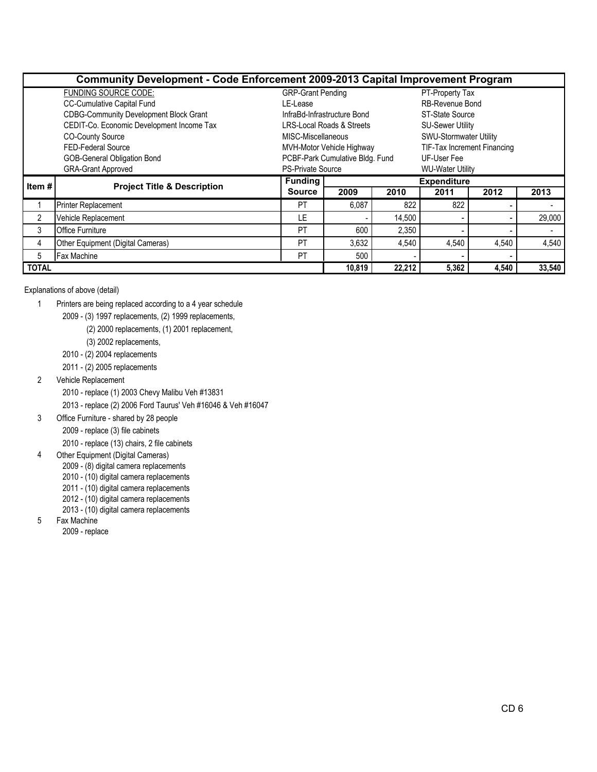|              | <b>Community Development - Code Enforcement 2009-2013 Capital Improvement Program</b> |                                             |                                      |        |                             |        |        |  |  |  |  |  |  |
|--------------|---------------------------------------------------------------------------------------|---------------------------------------------|--------------------------------------|--------|-----------------------------|--------|--------|--|--|--|--|--|--|
|              | FUNDING SOURCE CODE:                                                                  | <b>GRP-Grant Pending</b><br>PT-Property Tax |                                      |        |                             |        |        |  |  |  |  |  |  |
|              | <b>CC-Cumulative Capital Fund</b>                                                     | LE-Lease                                    |                                      |        | RB-Revenue Bond             |        |        |  |  |  |  |  |  |
|              | <b>CDBG-Community Development Block Grant</b>                                         |                                             | InfraBd-Infrastructure Bond          |        | ST-State Source             |        |        |  |  |  |  |  |  |
|              | CEDIT-Co. Economic Development Income Tax                                             |                                             | <b>LRS-Local Roads &amp; Streets</b> |        | <b>SU-Sewer Utility</b>     |        |        |  |  |  |  |  |  |
|              | <b>CO-County Source</b>                                                               | MISC-Miscellaneous                          |                                      |        | SWU-Stormwater Utility      |        |        |  |  |  |  |  |  |
|              | FED-Federal Source                                                                    |                                             | MVH-Motor Vehicle Highway            |        | TIF-Tax Increment Financing |        |        |  |  |  |  |  |  |
|              | GOB-General Obligation Bond                                                           |                                             | PCBF-Park Cumulative Bldg. Fund      |        | UF-User Fee                 |        |        |  |  |  |  |  |  |
|              | <b>GRA-Grant Approved</b>                                                             | <b>PS-Private Source</b>                    |                                      |        | <b>WU-Water Utility</b>     |        |        |  |  |  |  |  |  |
| Item #       | <b>Project Title &amp; Description</b>                                                | <b>Funding</b>                              | <b>Expenditure</b>                   |        |                             |        |        |  |  |  |  |  |  |
|              |                                                                                       | <b>Source</b>                               | 2009                                 | 2010   | 2011                        | 2012   | 2013   |  |  |  |  |  |  |
|              | <b>Printer Replacement</b>                                                            | <b>PT</b>                                   | 6,087                                | 822    | 822                         |        |        |  |  |  |  |  |  |
| 2            | Vehicle Replacement                                                                   | LE                                          |                                      | 14,500 |                             |        | 29,000 |  |  |  |  |  |  |
| 3            | <b>Office Furniture</b>                                                               | PT                                          | 600                                  | 2,350  |                             |        |        |  |  |  |  |  |  |
| 4            | Other Equipment (Digital Cameras)                                                     |                                             | 3,632                                | 4,540  | 4,540                       | 4,540  | 4,540  |  |  |  |  |  |  |
| 5            | Fax Machine                                                                           |                                             | 500                                  |        |                             |        |        |  |  |  |  |  |  |
| <b>TOTAL</b> |                                                                                       | 10,819                                      | 22.212                               | 5,362  | 4,540                       | 33,540 |        |  |  |  |  |  |  |

Explanations of above (detail)

- 1 Printers are being replaced according to a 4 year schedule
	- 2009 (3) 1997 replacements, (2) 1999 replacements,
		- (2) 2000 replacements, (1) 2001 replacement,
		- (3) 2002 replacements,
	- 2010 (2) 2004 replacements
	- 2011 (2) 2005 replacements
- 2 Vehicle Replacement
	- 2010 replace (1) 2003 Chevy Malibu Veh #13831

2013 - replace (2) 2006 Ford Taurus' Veh #16046 & Veh #16047

- 3 Office Furniture shared by 28 people
	- 2009 replace (3) file cabinets

2010 - replace (13) chairs, 2 file cabinets

- 4 Other Equipment (Digital Cameras)
	- 2009 (8) digital camera replacements
	- 2010 (10) digital camera replacements
	- 2011 (10) digital camera replacements
	- 2012 (10) digital camera replacements
	- 2013 (10) digital camera replacements
- 5 Fax Machine

2009 - replace